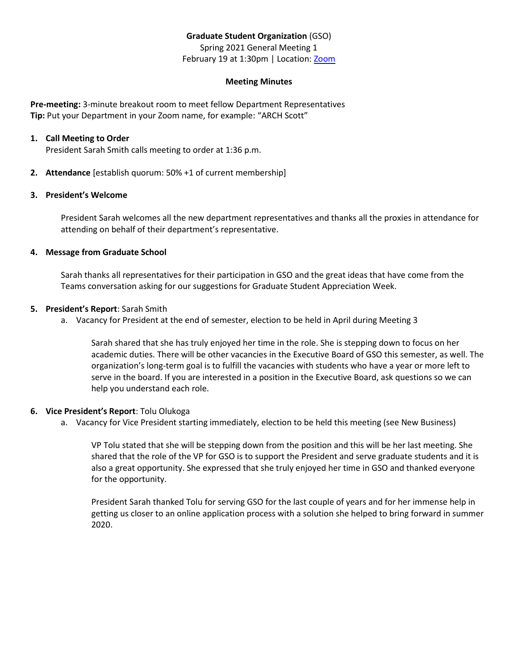# **Graduate Student Organization** (GSO)

Spring 2021 General Meeting 1 February 19 at 1:30pm | Location: [Zoom](https://ullafayette.zoom.us/j/4465632768)

## **Meeting Minutes**

**Pre-meeting:** 3-minute breakout room to meet fellow Department Representatives **Tip:** Put your Department in your Zoom name, for example: "ARCH Scott"

## **1. Call Meeting to Order**

President Sarah Smith calls meeting to order at 1:36 p.m.

**2. Attendance** [establish quorum: 50% +1 of current membership]

## **3. President's Welcome**

President Sarah welcomes all the new department representatives and thanks all the proxies in attendance for attending on behalf of their department's representative.

## **4. Message from Graduate School**

Sarah thanks all representatives for their participation in GSO and the great ideas that have come from the Teams conversation asking for our suggestions for Graduate Student Appreciation Week.

## **5. President's Report**: Sarah Smith

a. Vacancy for President at the end of semester, election to be held in April during Meeting 3

Sarah shared that she has truly enjoyed her time in the role. She is stepping down to focus on her academic duties. There will be other vacancies in the Executive Board of GSO this semester, as well. The organization's long-term goal is to fulfill the vacancies with students who have a year or more left to serve in the board. If you are interested in a position in the Executive Board, ask questions so we can help you understand each role.

## **6. Vice President's Report**: Tolu Olukoga

a. Vacancy for Vice President starting immediately, election to be held this meeting (see New Business)

VP Tolu stated that she will be stepping down from the position and this will be her last meeting. She shared that the role of the VP for GSO is to support the President and serve graduate students and it is also a great opportunity. She expressed that she truly enjoyed her time in GSO and thanked everyone for the opportunity.

President Sarah thanked Tolu for serving GSO for the last couple of years and for her immense help in getting us closer to an online application process with a solution she helped to bring forward in summer 2020.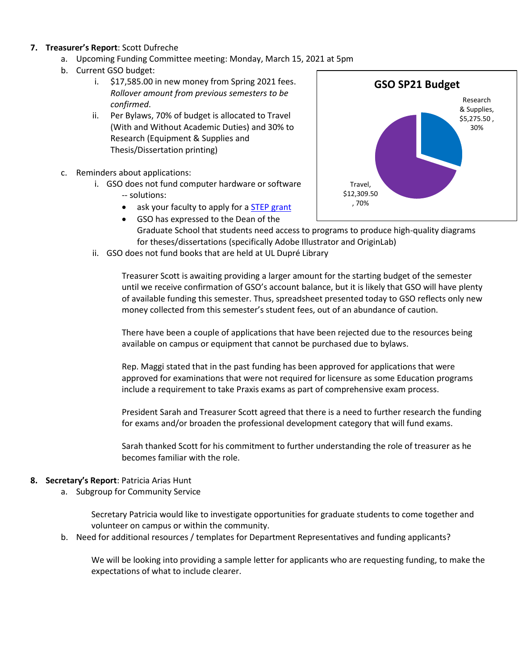## **7. Treasurer's Report**: Scott Dufreche

- a. Upcoming Funding Committee meeting: Monday, March 15, 2021 at 5pm
- b. Current GSO budget:
	- i. \$17,585.00 in new money from Spring 2021 fees. *Rollover amount from previous semesters to be confirmed*.
	- ii. Per Bylaws, 70% of budget is allocated to Travel (With and Without Academic Duties) and 30% to Research (Equipment & Supplies and Thesis/Dissertation printing)
- c. Reminders about applications:
	- i. GSO does not fund computer hardware or software -- solutions:
		- ask your faculty to apply for [a STEP grant](https://step.louisiana.edu/services-support/step-grants)
		- GSO has expressed to the Dean of the Graduate School that students need access to programs to produce high-quality diagrams for theses/dissertations (specifically Adobe Illustrator and OriginLab)
	- ii. GSO does not fund books that are held at UL Dupré Library

Treasurer Scott is awaiting providing a larger amount for the starting budget of the semester until we receive confirmation of GSO's account balance, but it is likely that GSO will have plenty of available funding this semester. Thus, spreadsheet presented today to GSO reflects only new money collected from this semester's student fees, out of an abundance of caution.

There have been a couple of applications that have been rejected due to the resources being available on campus or equipment that cannot be purchased due to bylaws.

Rep. Maggi stated that in the past funding has been approved for applications that were approved for examinations that were not required for licensure as some Education programs include a requirement to take Praxis exams as part of comprehensive exam process.

President Sarah and Treasurer Scott agreed that there is a need to further research the funding for exams and/or broaden the professional development category that will fund exams.

Sarah thanked Scott for his commitment to further understanding the role of treasurer as he becomes familiar with the role.

## **8. Secretary's Report**: Patricia Arias Hunt

a. Subgroup for Community Service

Secretary Patricia would like to investigate opportunities for graduate students to come together and volunteer on campus or within the community.

b. Need for additional resources / templates for Department Representatives and funding applicants?

We will be looking into providing a sample letter for applicants who are requesting funding, to make the expectations of what to include clearer.

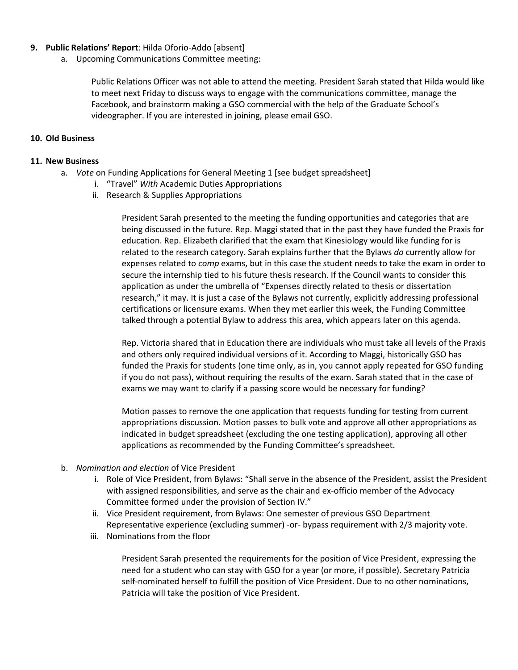## **9. Public Relations' Report**: Hilda Oforio-Addo [absent]

a. Upcoming Communications Committee meeting:

Public Relations Officer was not able to attend the meeting. President Sarah stated that Hilda would like to meet next Friday to discuss ways to engage with the communications committee, manage the Facebook, and brainstorm making a GSO commercial with the help of the Graduate School's videographer. If you are interested in joining, please email GSO.

## **10. Old Business**

## **11. New Business**

- a. *Vote* on Funding Applications for General Meeting 1 [see budget spreadsheet]
	- i. "Travel" *With* Academic Duties Appropriations
	- ii. Research & Supplies Appropriations

President Sarah presented to the meeting the funding opportunities and categories that are being discussed in the future. Rep. Maggi stated that in the past they have funded the Praxis for education. Rep. Elizabeth clarified that the exam that Kinesiology would like funding for is related to the research category. Sarah explains further that the Bylaws *do* currently allow for expenses related to *comp* exams, but in this case the student needs to take the exam in order to secure the internship tied to his future thesis research. If the Council wants to consider this application as under the umbrella of "Expenses directly related to thesis or dissertation research," it may. It is just a case of the Bylaws not currently, explicitly addressing professional certifications or licensure exams. When they met earlier this week, the Funding Committee talked through a potential Bylaw to address this area, which appears later on this agenda.

Rep. Victoria shared that in Education there are individuals who must take all levels of the Praxis and others only required individual versions of it. According to Maggi, historically GSO has funded the Praxis for students (one time only, as in, you cannot apply repeated for GSO funding if you do not pass), without requiring the results of the exam. Sarah stated that in the case of exams we may want to clarify if a passing score would be necessary for funding?

Motion passes to remove the one application that requests funding for testing from current appropriations discussion. Motion passes to bulk vote and approve all other appropriations as indicated in budget spreadsheet (excluding the one testing application), approving all other applications as recommended by the Funding Committee's spreadsheet.

- b. *Nomination and election* of Vice President
	- i. Role of Vice President, from Bylaws: "Shall serve in the absence of the President, assist the President with assigned responsibilities, and serve as the chair and ex-officio member of the Advocacy Committee formed under the provision of Section IV."
	- ii. Vice President requirement, from Bylaws: One semester of previous GSO Department Representative experience (excluding summer) -or- bypass requirement with 2/3 majority vote.
	- iii. Nominations from the floor

President Sarah presented the requirements for the position of Vice President, expressing the need for a student who can stay with GSO for a year (or more, if possible). Secretary Patricia self-nominated herself to fulfill the position of Vice President. Due to no other nominations, Patricia will take the position of Vice President.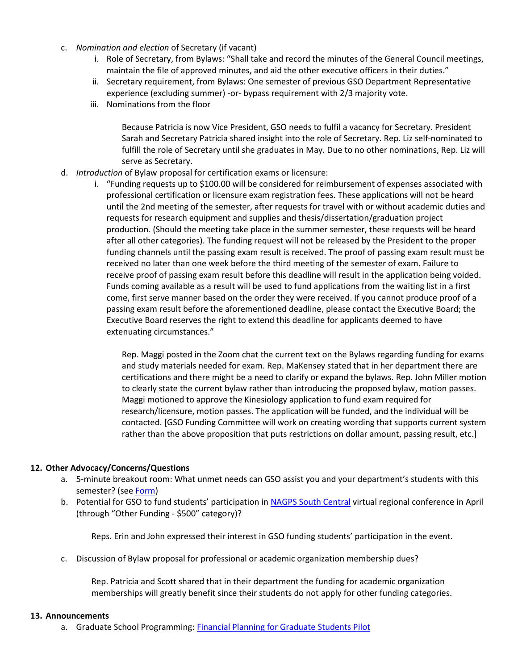- c. *Nomination and election* of Secretary (if vacant)
	- i. Role of Secretary, from Bylaws: "Shall take and record the minutes of the General Council meetings, maintain the file of approved minutes, and aid the other executive officers in their duties."
	- ii. Secretary requirement, from Bylaws: One semester of previous GSO Department Representative experience (excluding summer) -or- bypass requirement with 2/3 majority vote.
	- iii. Nominations from the floor

Because Patricia is now Vice President, GSO needs to fulfil a vacancy for Secretary. President Sarah and Secretary Patricia shared insight into the role of Secretary. Rep. Liz self-nominated to fulfill the role of Secretary until she graduates in May. Due to no other nominations, Rep. Liz will serve as Secretary.

- d. *Introduction* of Bylaw proposal for certification exams or licensure:
	- i. "Funding requests up to \$100.00 will be considered for reimbursement of expenses associated with professional certification or licensure exam registration fees. These applications will not be heard until the 2nd meeting of the semester, after requests for travel with or without academic duties and requests for research equipment and supplies and thesis/dissertation/graduation project production. (Should the meeting take place in the summer semester, these requests will be heard after all other categories). The funding request will not be released by the President to the proper funding channels until the passing exam result is received. The proof of passing exam result must be received no later than one week before the third meeting of the semester of exam. Failure to receive proof of passing exam result before this deadline will result in the application being voided. Funds coming available as a result will be used to fund applications from the waiting list in a first come, first serve manner based on the order they were received. If you cannot produce proof of a passing exam result before the aforementioned deadline, please contact the Executive Board; the Executive Board reserves the right to extend this deadline for applicants deemed to have extenuating circumstances."

Rep. Maggi posted in the Zoom chat the current text on the Bylaws regarding funding for exams and study materials needed for exam. Rep. MaKensey stated that in her department there are certifications and there might be a need to clarify or expand the bylaws. Rep. John Miller motion to clearly state the current bylaw rather than introducing the proposed bylaw, motion passes. Maggi motioned to approve the Kinesiology application to fund exam required for research/licensure, motion passes. The application will be funded, and the individual will be contacted. [GSO Funding Committee will work on creating wording that supports current system rather than the above proposition that puts restrictions on dollar amount, passing result, etc.]

#### **12. Other Advocacy/Concerns/Questions**

- a. 5-minute breakout room: What unmet needs can GSO assist you and your department's students with this semester? (see [Form\)](https://forms.office.com/Pages/ResponsePage.aspx?id=zrCzE3XNpEm_6goDsB_xq-vwth-wKSRJpnzVPBRk0TVUMjVLMFUwMVdNMFdZQTJEMkU3NDBQWjlPMS4u)
- b. Potential for GSO to fund students' participation in NAGPS [South Central](https://www.facebook.com/nagps.southcentral/) virtual regional conference in April (through "Other Funding - \$500" category)?

Reps. Erin and John expressed their interest in GSO funding students' participation in the event.

c. Discussion of Bylaw proposal for professional or academic organization membership dues?

Rep. Patricia and Scott shared that in their department the funding for academic organization memberships will greatly benefit since their students do not apply for other funding categories.

#### **13. Announcements**

a. Graduate School Programming[: Financial Planning for Graduate Students Pilot](https://gradschool.louisiana.edu/node/903?fbclid=IwAR2zZM16C3jIMsNCyys1Tp-ODEvo2BJNMUPqbkrQ6KN5jigd93DQpIgN0wg)